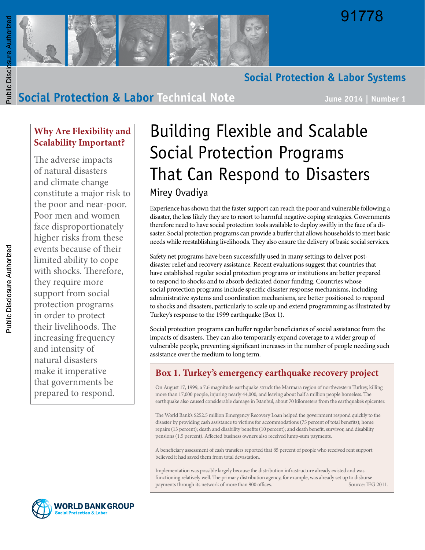



### **Social Protection & Labor Systems**

## **Social Protection & Labor Technical Note June 2014 | Number 1**

## **Why Are Flexibility and Scalability Important?**

The adverse impacts of natural disasters and climate change constitute a major risk to the poor and near-poor. Poor men and women face disproportionately higher risks from these events because of their limited ability to cope with shocks. Therefore, they require more support from social protection programs in order to protect their livelihoods. The increasing frequency and intensity of natural disasters make it imperative that governments be prepared to respond.

# Building Flexible and Scalable Social Protection Programs That Can Respond to Disasters Mirey Ovadiya

Experience has shown that the faster support can reach the poor and vulnerable following a disaster, the less likely they are to resort to harmful negative coping strategies. Governments therefore need to have social protection tools available to deploy swiftly in the face of a disaster. Social protection programs can provide a buffer that allows households to meet basic needs while reestablishing livelihoods. They also ensure the delivery of basic social services.

Safety net programs have been successfully used in many settings to deliver postdisaster relief and recovery assistance. Recent evaluations suggest that countries that have established regular social protection programs or institutions are better prepared to respond to shocks and to absorb dedicated donor funding. Countries whose social protection programs include specific disaster response mechanisms, including administrative systems and coordination mechanisms, are better positioned to respond to shocks and disasters, particularly to scale up and extend programming as illustrated by Turkey's response to the 1999 earthquake (Box 1).

Social protection programs can buffer regular beneficiaries of social assistance from the impacts of disasters. They can also temporarily expand coverage to a wider group of vulnerable people, preventing significant increases in the number of people needing such assistance over the medium to long term.

### **Box 1. Turkey's emergency earthquake recovery project**

On August 17, 1999, a 7.6 magnitude earthquake struck the Marmara region of northwestern Turkey, killing more than 17,000 people, injuring nearly 44,000, and leaving about half a million people homeless. The earthquake also caused considerable damage in Istanbul, about 70 kilometers from the earthquake's epicenter.

The World Bank's \$252.5 million Emergency Recovery Loan helped the government respond quickly to the disaster by providing cash assistance to victims for accommodations (75 percent of total benefits); home repairs (13 percent); death and disability benefits (10 percent); and death benefit, survivor, and disability pensions (1.5 percent). Affected business owners also received lump-sum payments.

A beneficiary assessment of cash transfers reported that 85 percent of people who received rent support believed it had saved them from total devastation.

Implementation was possible largely because the distribution infrastructure already existed and was functioning relatively well. The primary distribution agency, for example, was already set up to disburse payments through its network of more than 900 offices.

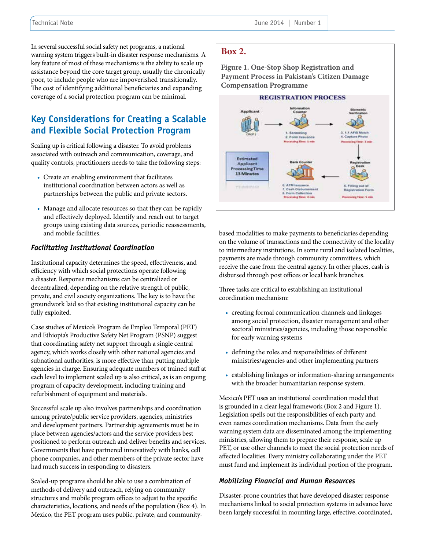In several successful social safety net programs, a national warning system triggers built-in disaster response mechanisms. A key feature of most of these mechanisms is the ability to scale up assistance beyond the core target group, usually the chronically poor, to include people who are impoverished transitionally. The cost of identifying additional beneficiaries and expanding coverage of a social protection program can be minimal.

### **Key Considerations for Creating a Scalable and Flexible Social Protection Program**

Scaling up is critical following a disaster. To avoid problems associated with outreach and communication, coverage, and quality controls, practitioners needs to take the following steps:

- Create an enabling environment that facilitates institutional coordination between actors as well as partnerships between the public and private sectors.
- Manage and allocate resources so that they can be rapidly and effectively deployed. Identify and reach out to target groups using existing data sources, periodic reassessments, and mobile facilities.

#### *Facilitating Institutional Coordination*

Institutional capacity determines the speed, effectiveness, and efficiency with which social protections operate following a disaster. Response mechanisms can be centralized or decentralized, depending on the relative strength of public, private, and civil society organizations. The key is to have the groundwork laid so that existing institutional capacity can be fully exploited.

Case studies of Mexico's Program de Empleo Temporal (PET) and Ethiopia's Productive Safety Net Program (PSNP) suggest that coordinating safety net support through a single central agency, which works closely with other national agencies and subnational authorities, is more effective than putting multiple agencies in charge. Ensuring adequate numbers of trained staff at each level to implement scaled up is also critical, as is an ongoing program of capacity development, including training and refurbishment of equipment and materials.

Successful scale up also involves partnerships and coordination among private/public service providers, agencies, ministries and development partners. Partnership agreements must be in place between agencies/actors and the service providers best positioned to perform outreach and deliver benefits and services. Governments that have partnered innovatively with banks, cell phone companies, and other members of the private sector have had much success in responding to disasters.

Scaled-up programs should be able to use a combination of methods of delivery and outreach, relying on community structures and mobile program offices to adjust to the specific characteristics, locations, and needs of the population (Box 4). In Mexico, the PET program uses public, private, and community-

### **Box 2.**

**Figure 1. One-Stop Shop Registration and Payment Process in Pakistan's Citizen Damage Compensation Programme**



based modalities to make payments to beneficiaries depending on the volume of transactions and the connectivity of the locality to intermediary institutions. In some rural and isolated localities, payments are made through community committees, which receive the case from the central agency. In other places, cash is disbursed through post offices or local bank branches.

Three tasks are critical to establishing an institutional coordination mechanism:

- creating formal communication channels and linkages among social protection, disaster management and other sectoral ministries/agencies, including those responsible for early warning systems
- defining the roles and responsibilities of different ministries/agencies and other implementing partners
- establishing linkages or information-sharing arrangements with the broader humanitarian response system.

Mexico's PET uses an institutional coordination model that is grounded in a clear legal framework (Box 2 and Figure 1). Legislation spells out the responsibilities of each party and even names coordination mechanisms. Data from the early warning system data are disseminated among the implementing ministries, allowing them to prepare their response, scale up PET, or use other channels to meet the social protection needs of affected localities. Every ministry collaborating under the PET must fund and implement its individual portion of the program.

#### *Mobilizing Financial and Human Resources*

Disaster-prone countries that have developed disaster response mechanisms linked to social protection systems in advance have been largely successful in mounting large, effective, coordinated,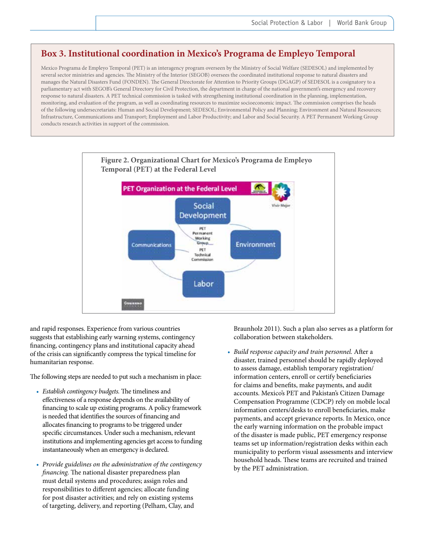### **Box 3. Institutional coordination in Mexico's Programa de Empleyo Temporal**

Mexico Programa de Empleyo Temporal (PET) is an interagency program overseen by the Ministry of Social Welfare (SEDESOL) and implemented by several sector ministries and agencies. The Ministry of the Interior (SEGOB) oversees the coordinated institutional response to natural disasters and manages the Natural Disasters Fund (FONDEN). The General Directorate for Attention to Priority Groups (DGAGP) of SEDESOL is a cosignatory to a parliamentary act with SEGOB's General Directory for Civil Protection, the department in charge of the national government's emergency and recovery response to natural disasters. A PET technical commission is tasked with strengthening institutional coordination in the planning, implementation, monitoring, and evaluation of the program, as well as coordinating resources to maximize socioeconomic impact. The commission comprises the heads of the following undersecretariats: Human and Social Development; SEDESOL; Environmental Policy and Planning; Environment and Natural Resources; Infrastructure, Communications and Transport; Employment and Labor Productivity; and Labor and Social Security. A PET Permanent Working Group conducts research activities in support of the commission.



and rapid responses. Experience from various countries suggests that establishing early warning systems, contingency financing, contingency plans and institutional capacity ahead of the crisis can significantly compress the typical timeline for humanitarian response.

The following steps are needed to put such a mechanism in place:

- *• Establish contingency budgets.* The timeliness and effectiveness of a response depends on the availability of financing to scale up existing programs. A policy framework is needed that identifies the sources of financing and allocates financing to programs to be triggered under specific circumstances. Under such a mechanism, relevant institutions and implementing agencies get access to funding instantaneously when an emergency is declared.
- *• Provide guidelines on the administration of the contingency financing.* The national disaster preparedness plan must detail systems and procedures; assign roles and responsibilities to different agencies; allocate funding for post disaster activities; and rely on existing systems of targeting, delivery, and reporting (Pelham, Clay, and

Braunholz 2011). Such a plan also serves as a platform for collaboration between stakeholders.

*• Build response capacity and train personnel.* After a disaster, trained personnel should be rapidly deployed to assess damage, establish temporary registration/ information centers, enroll or certify beneficiaries for claims and benefits, make payments, and audit accounts. Mexico's PET and Pakistan's Citizen Damage Compensation Programme (CDCP) rely on mobile local information centers/desks to enroll beneficiaries, make payments, and accept grievance reports. In Mexico, once the early warning information on the probable impact of the disaster is made public, PET emergency response teams set up information/registration desks within each municipality to perform visual assessments and interview household heads. These teams are recruited and trained by the PET administration.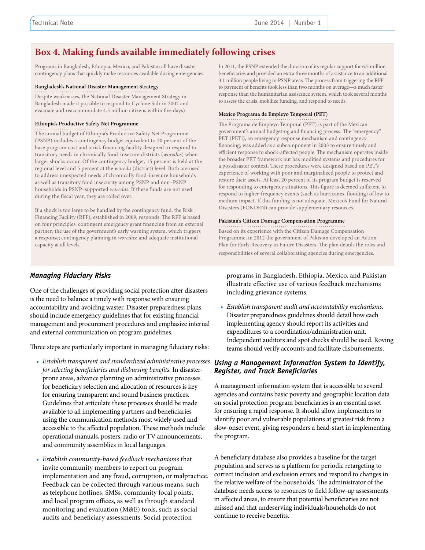### **Box 4. Making funds available immediately following crises**

Programs in Bangladesh, Ethiopia, Mexico, and Pakistan all have disaster contingency plans that quickly make resources available during emergencies.

#### **Bangladesh's National Disaster Management Strategy**

Despite weaknesses, the National Disaster Management Strategy in Bangladesh made it possible to respond to Cyclone Sidr in 2007 and evacuate and reaccommodate 4.5 million citizens within five days)

#### **Ethiopia's Productive Safety Net Programme**

The annual budget of Ethiopia's Productive Safety Net Programme (PSNP) includes a contingency budget equivalent to 20 percent of the base program cost and a risk financing facility designed to respond to transitory needs in chronically food-insecure districts (*woredas*) when larger shocks occur. Of the contingency budget, 15 percent is held at the regional level and 5 percent at the *woreda* (district) level. Both are used to address unexpected needs of chronically food-insecure households as well as transitory food insecurity among PSNP and non–PSNP households in PSNP–supported *woredas*. If these funds are not used during the fiscal year, they are rolled over.

If a shock is too large to be handled by the contingency fund, the Risk Financing Facility (RFF), established in 2009, responds. The RFF is based on four principles: contingent emergency grant financing from an external partner; the use of the government's early warning system, which triggers a response; contingency planning in *woredas*; and adequate institutional capacity at all levels.

In 2011, the PSNP extended the duration of its regular support for 6.5 million beneficiaries and provided an extra three months of assistance to an additional 3.1 million people living in PSNP areas. The process from triggering the RFF to payment of benefits took less than two months on average—a much faster response than the humanitarian assistance system, which took several months to assess the crisis, mobilize funding, and respond to needs.

#### **Mexico Programa de Empleyo Temporal (PET)**

The Programa de Empleyo Temporal (PET) is part of the Mexican government's annual budgeting and financing process. The "emergency" PET (PETi), an emergency response mechanism and contingency financing, was added as a subcomponent in 2003 to ensure timely and efficient response to shock-affected people. The mechanism operates inside the broader PET framework but has modified systems and procedures for a postdisaster context. These procedures were designed based on PET's experience of working with poor and marginalized people to protect and restore their assets. At least 20 percent of its program budget is reserved for responding to emergency situations. This figure is deemed sufficient to respond to higher-frequency events (such as hurricanes, flooding) of low to medium impact. If this funding is not adequate, Mexico's Fund for Natural Disasters (FONDEN) can provide supplementary resources.

#### **Pakistan's Citizen Damage Compensation Programme**

Based on its experience with the Citizen Damage Compensation Programme, in 2012 the government of Pakistan developed an Action Plan for Early Recovery in Future Disasters. The plan details the roles and responsibilities of several collaborating agencies during emergencies.

#### *Managing Fiduciary Risks*

One of the challenges of providing social protection after disasters is the need to balance a timely with response with ensuring accountability and avoiding waster. Disaster preparedness plans should include emergency guidelines that for existing financial management and procurement procedures and emphasize internal and external communication on program guidelines.

Three steps are particularly important in managing fiduciary risks:

- *• Establish transparent and standardized administrative processes Using a Management Information System to Identify, for selecting beneficiaries and disbursing benefits.* In disasterprone areas, advance planning on administrative processes for beneficiary selection and allocation of resources is key for ensuring transparent and sound business practices. Guidelines that articulate these processes should be made available to all implementing partners and beneficiaries using the communication methods most widely used and accessible to the affected population. These methods include operational manuals, posters, radio or TV announcements, and community assemblies in local languages.
- *• Establish community-based feedback mechanisms* that invite community members to report on program implementation and any fraud, corruption, or malpractice. Feedback can be collected through various means, such as telephone hotlines, SMSs, community focal points, and local program offices, as well as through standard monitoring and evaluation (M&E) tools, such as social audits and beneficiary assessments. Social protection

programs in Bangladesh, Ethiopia, Mexico, and Pakistan illustrate effective use of various feedback mechanisms including grievance systems.

*• Establish transparent audit and accountability mechanisms.*  Disaster preparedness guidelines should detail how each implementing agency should report its activities and expenditures to a coordination/administration unit. Independent auditors and spot checks should be used. Roving teams should verify accounts and facilitate disbursements.

## *Register, and Track Beneficiaries*

A management information system that is accessible to several agencies and contains basic poverty and geographic location data on social protection program beneficiaries is an essential asset for ensuring a rapid response. It should allow implementers to identify poor and vulnerable populations at greatest risk from a slow-onset event, giving responders a head-start in implementing the program.

A beneficiary database also provides a baseline for the target population and serves as a platform for periodic retargeting to correct inclusion and exclusion errors and respond to changes in the relative welfare of the households. The administrator of the database needs access to resources to field follow-up assessments in affected areas, to ensure that potential beneficiaries are not missed and that undeserving individuals/households do not continue to receive benefits.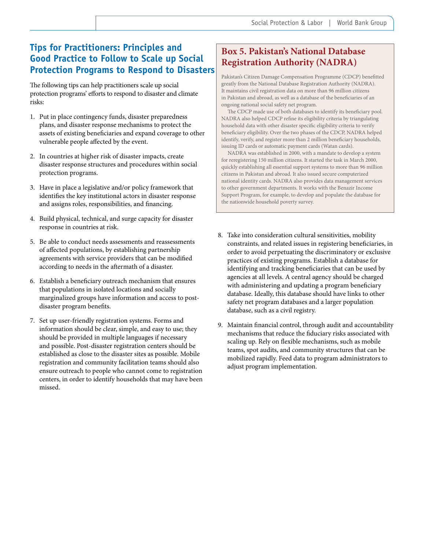### **Tips for Practitioners: Principles and Good Practice to Follow to Scale up Social Protection Programs to Respond to Disasters**

The following tips can help practitioners scale up social protection programs' efforts to respond to disaster and climate risks:

- 1. Put in place contingency funds, disaster preparedness plans, and disaster response mechanisms to protect the assets of existing beneficiaries and expand coverage to other vulnerable people affected by the event.
- 2. In countries at higher risk of disaster impacts, create disaster response structures and procedures within social protection programs.
- 3. Have in place a legislative and/or policy framework that identifies the key institutional actors in disaster response and assigns roles, responsibilities, and financing.
- 4. Build physical, technical, and surge capacity for disaster response in countries at risk.
- 5. Be able to conduct needs assessments and reassessments of affected populations, by establishing partnership agreements with service providers that can be modified according to needs in the aftermath of a disaster.
- 6. Establish a beneficiary outreach mechanism that ensures that populations in isolated locations and socially marginalized groups have information and access to postdisaster program benefits.
- 7. Set up user-friendly registration systems. Forms and information should be clear, simple, and easy to use; they should be provided in multiple languages if necessary and possible. Post-disaster registration centers should be established as close to the disaster sites as possible. Mobile registration and community facilitation teams should also ensure outreach to people who cannot come to registration centers, in order to identify households that may have been missed.

### **Box 5. Pakistan's National Database Registration Authority (NADRA)**

Pakistan's Citizen Damage Compensation Programme (CDCP) benefitted greatly from the National Database Registration Authority (NADRA). It maintains civil registration data on more than 96 million citizens in Pakistan and abroad, as well as a database of the beneficiaries of an ongoing national social safety net program.

The CDCP made use of both databases to identify its beneficiary pool. NADRA also helped CDCP refine its eligibility criteria by triangulating household data with other disaster specific eligibility criteria to verify beneficiary eligibility. Over the two phases of the CDCP, NADRA helped identify, verify, and register more than 2 million beneficiary households, issuing ID cards or automatic payment cards (Watan cards).

NADRA was established in 2000, with a mandate to develop a system for reregistering 150 million citizens. It started the task in March 2000, quickly establishing all essential support systems to more than 96 million citizens in Pakistan and abroad. It also issued secure computerized national identity cards. NADRA also provides data management services to other government departments. It works with the Benazir Income Support Program, for example, to develop and populate the database for the nationwide household poverty survey.

- 8. Take into consideration cultural sensitivities, mobility constraints, and related issues in registering beneficiaries, in order to avoid perpetuating the discriminatory or exclusive practices of existing programs. Establish a database for identifying and tracking beneficiaries that can be used by agencies at all levels. A central agency should be charged with administering and updating a program beneficiary database. Ideally, this database should have links to other safety net program databases and a larger population database, such as a civil registry.
- 9. Maintain financial control, through audit and accountability mechanisms that reduce the fiduciary risks associated with scaling up. Rely on flexible mechanisms, such as mobile teams, spot audits, and community structures that can be mobilized rapidly. Feed data to program administrators to adjust program implementation.